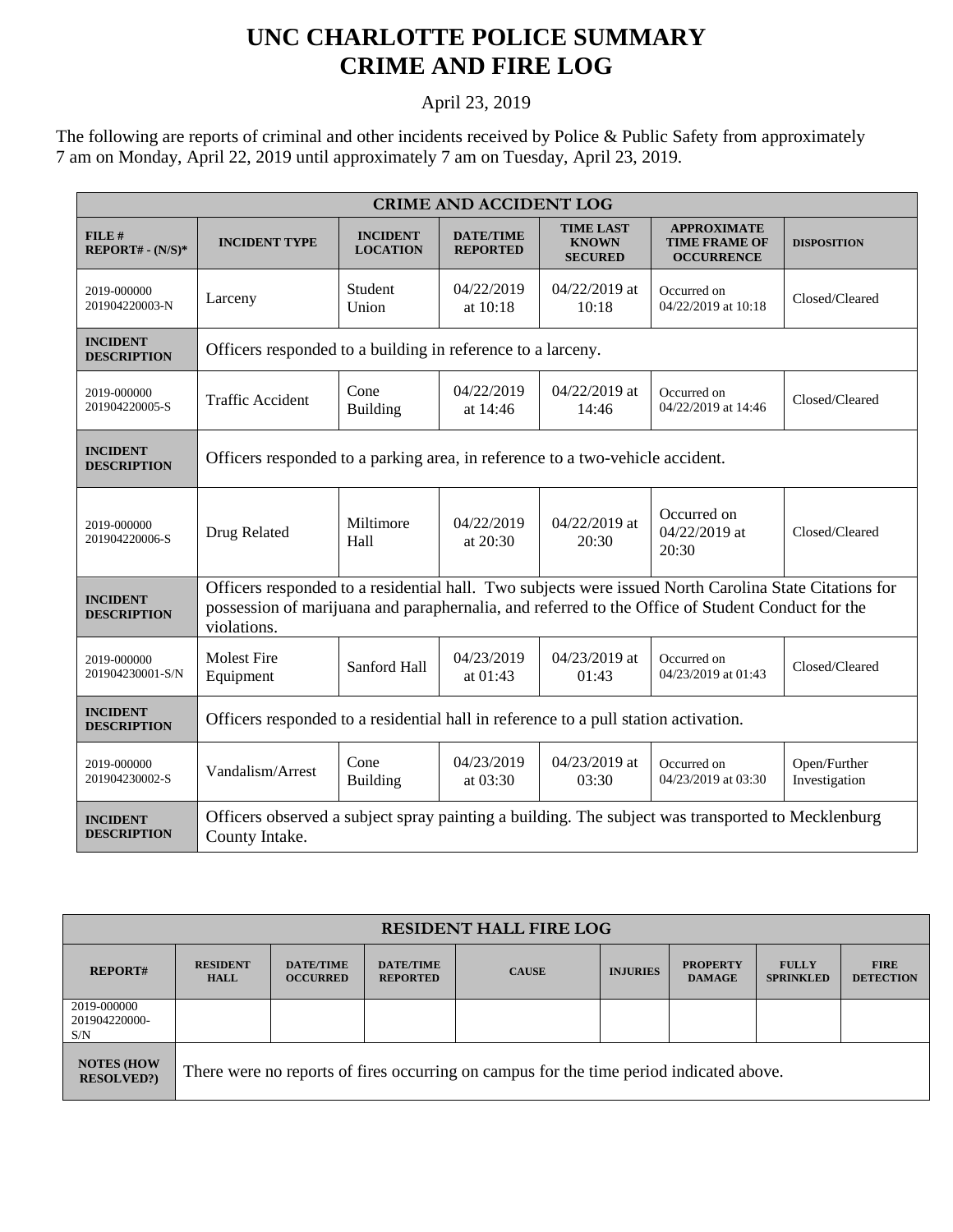## **UNC CHARLOTTE POLICE SUMMARY CRIME AND FIRE LOG**

## April 23, 2019

The following are reports of criminal and other incidents received by Police & Public Safety from approximately 7 am on Monday, April 22, 2019 until approximately 7 am on Tuesday, April 23, 2019.

| <b>CRIME AND ACCIDENT LOG</b>         |                                                                                                                                                                                                                          |                                    |                                     |                                                    |                                                                 |                               |  |  |
|---------------------------------------|--------------------------------------------------------------------------------------------------------------------------------------------------------------------------------------------------------------------------|------------------------------------|-------------------------------------|----------------------------------------------------|-----------------------------------------------------------------|-------------------------------|--|--|
| FILE#<br>$REPORT# - (N/S)*$           | <b>INCIDENT TYPE</b>                                                                                                                                                                                                     | <b>INCIDENT</b><br><b>LOCATION</b> | <b>DATE/TIME</b><br><b>REPORTED</b> | <b>TIME LAST</b><br><b>KNOWN</b><br><b>SECURED</b> | <b>APPROXIMATE</b><br><b>TIME FRAME OF</b><br><b>OCCURRENCE</b> | <b>DISPOSITION</b>            |  |  |
| 2019-000000<br>201904220003-N         | Larceny                                                                                                                                                                                                                  | Student<br>Union                   | 04/22/2019<br>at 10:18              | 04/22/2019 at<br>10:18                             | Occurred on<br>04/22/2019 at 10:18                              | Closed/Cleared                |  |  |
| <b>INCIDENT</b><br><b>DESCRIPTION</b> | Officers responded to a building in reference to a larceny.                                                                                                                                                              |                                    |                                     |                                                    |                                                                 |                               |  |  |
| 2019-000000<br>201904220005-S         | <b>Traffic Accident</b>                                                                                                                                                                                                  | Cone<br><b>Building</b>            | 04/22/2019<br>at 14:46              | $04/22/2019$ at<br>14:46                           | Occurred on<br>04/22/2019 at 14:46                              | Closed/Cleared                |  |  |
| <b>INCIDENT</b><br><b>DESCRIPTION</b> | Officers responded to a parking area, in reference to a two-vehicle accident.                                                                                                                                            |                                    |                                     |                                                    |                                                                 |                               |  |  |
| 2019-000000<br>201904220006-S         | Drug Related                                                                                                                                                                                                             | Miltimore<br>Hall                  | 04/22/2019<br>at 20:30              | 04/22/2019 at<br>20:30                             | Occurred on<br>04/22/2019 at<br>20:30                           | Closed/Cleared                |  |  |
| <b>INCIDENT</b><br><b>DESCRIPTION</b> | Officers responded to a residential hall. Two subjects were issued North Carolina State Citations for<br>possession of marijuana and paraphernalia, and referred to the Office of Student Conduct for the<br>violations. |                                    |                                     |                                                    |                                                                 |                               |  |  |
| 2019-000000<br>201904230001-S/N       | <b>Molest Fire</b><br>Equipment                                                                                                                                                                                          | Sanford Hall                       | 04/23/2019<br>at $01:43$            | $04/23/2019$ at<br>01:43                           | Occurred on<br>04/23/2019 at 01:43                              | Closed/Cleared                |  |  |
| <b>INCIDENT</b><br><b>DESCRIPTION</b> | Officers responded to a residential hall in reference to a pull station activation.                                                                                                                                      |                                    |                                     |                                                    |                                                                 |                               |  |  |
| 2019-000000<br>201904230002-S         | Vandalism/Arrest                                                                                                                                                                                                         | Cone<br><b>Building</b>            | 04/23/2019<br>at 03:30              | 04/23/2019 at<br>03:30                             | Occurred on<br>04/23/2019 at 03:30                              | Open/Further<br>Investigation |  |  |
| <b>INCIDENT</b><br><b>DESCRIPTION</b> | Officers observed a subject spray painting a building. The subject was transported to Mecklenburg<br>County Intake.                                                                                                      |                                    |                                     |                                                    |                                                                 |                               |  |  |

| <b>RESIDENT HALL FIRE LOG</b>          |                                                                                         |                                     |                                     |              |                 |                                  |                                  |                                 |  |
|----------------------------------------|-----------------------------------------------------------------------------------------|-------------------------------------|-------------------------------------|--------------|-----------------|----------------------------------|----------------------------------|---------------------------------|--|
| <b>REPORT#</b>                         | <b>RESIDENT</b><br><b>HALL</b>                                                          | <b>DATE/TIME</b><br><b>OCCURRED</b> | <b>DATE/TIME</b><br><b>REPORTED</b> | <b>CAUSE</b> | <b>INJURIES</b> | <b>PROPERTY</b><br><b>DAMAGE</b> | <b>FULLY</b><br><b>SPRINKLED</b> | <b>FIRE</b><br><b>DETECTION</b> |  |
| 2019-000000<br>201904220000-<br>S/N    |                                                                                         |                                     |                                     |              |                 |                                  |                                  |                                 |  |
| <b>NOTES (HOW</b><br><b>RESOLVED?)</b> | There were no reports of fires occurring on campus for the time period indicated above. |                                     |                                     |              |                 |                                  |                                  |                                 |  |